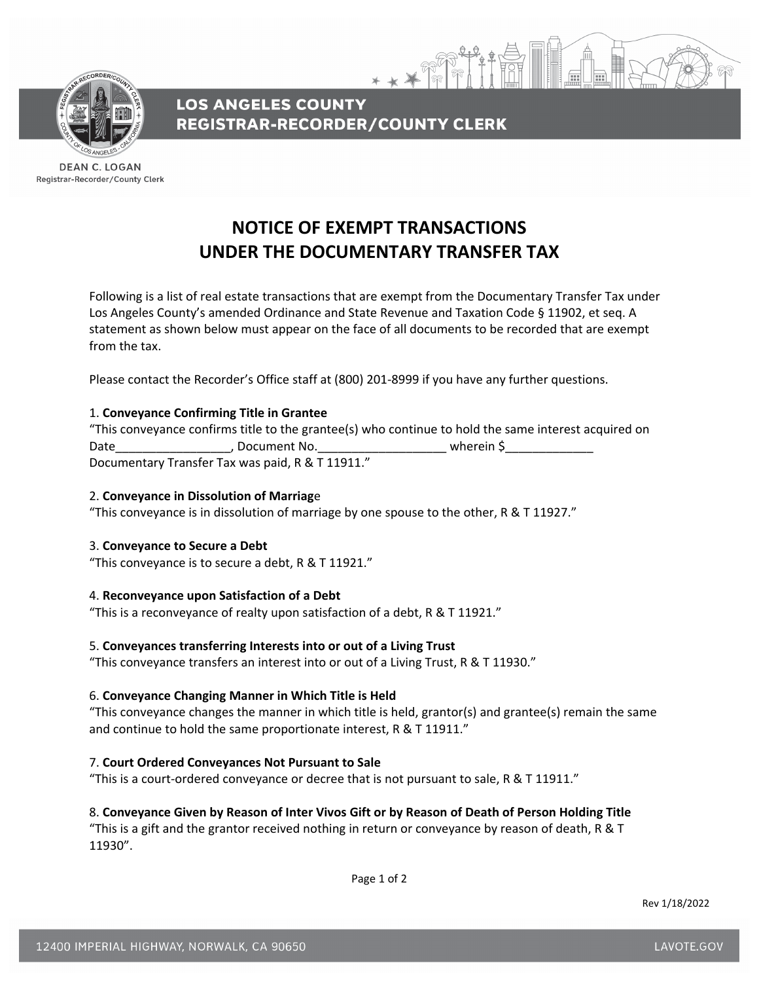

**LOS ANGELES COUNTY REGISTRAR-RECORDER/COUNTY CLERK** 

**DEAN C. LOGAN** Registrar-Recorder/County Clerk

# **NOTICE OF EXEMPT TRANSACTIONS UNDER THE DOCUMENTARY TRANSFER TAX**

Following is a list of real estate transactions that are exempt from the Documentary Transfer Tax under Los Angeles County's amended Ordinance and State Revenue and Taxation Code § 11902, et seq. A statement as shown below must appear on the face of all documents to be recorded that are exempt from the tax.

Please contact the Recorder's Office staff at (800) 201‐8999 if you have any further questions.

# 1. **Conveyance Confirming Title in Grantee**

"This conveyance confirms title to the grantee(s) who continue to hold the same interest acquired on Date the contract of the Date of Document No. Documentary Transfer Tax was paid, R & T 11911."

## 2. **Conveyance in Dissolution of Marriag**e

"This conveyance is in dissolution of marriage by one spouse to the other,  $R \& T 11927$ ."

## 3. **Conveyance to Secure a Debt**

"This conveyance is to secure a debt, R & T 11921."

## 4. **Reconveyance upon Satisfaction of a Debt**

"This is a reconveyance of realty upon satisfaction of a debt, R & T 11921."

## 5. **Conveyances transferring Interests into or out of a Living Trust**

"This conveyance transfers an interest into or out of a Living Trust, R & T 11930."

## 6. **Conveyance Changing Manner in Which Title is Held**

"This conveyance changes the manner in which title is held, grantor(s) and grantee(s) remain the same and continue to hold the same proportionate interest, R & T 11911."

## 7. **Court Ordered Conveyances Not Pursuant to Sale**

"This is a court‐ordered conveyance or decree that is not pursuant to sale, R & T 11911."

## 8. **Conveyance Given by Reason of Inter Vivos Gift or by Reason of Death of Person Holding Title**

"This is a gift and the grantor received nothing in return or conveyance by reason of death, R & T 11930".

Page 1 of 2

Rev 1/18/2022